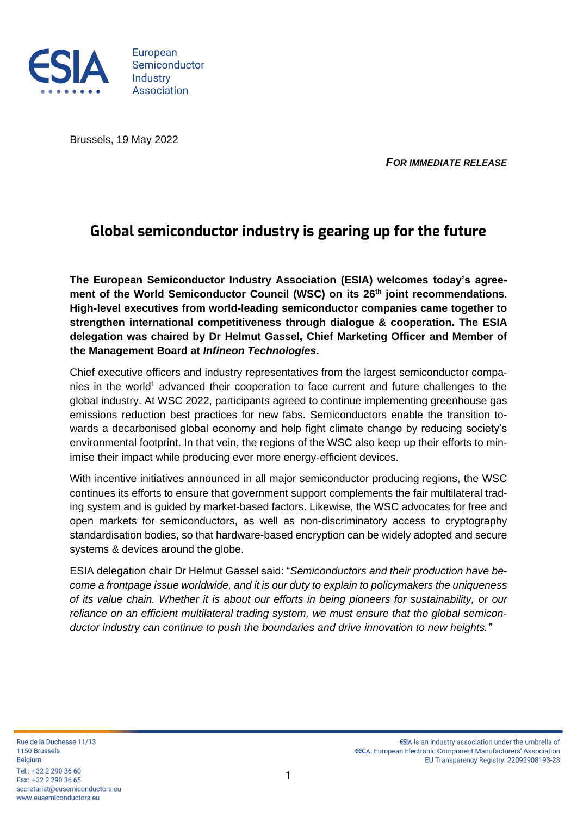

European Semiconductor **Industry** Association

Brussels, 19 May 2022

*FOR IMMEDIATE RELEASE*

## **Global semiconductor industry is gearing up for the future**

**The European Semiconductor Industry Association (ESIA) welcomes today's agreement of the World Semiconductor Council (WSC) on its 26th joint recommendations. High-level executives from world-leading semiconductor companies came together to strengthen international competitiveness through dialogue & cooperation. The ESIA delegation was chaired by Dr Helmut Gassel, Chief Marketing Officer and Member of the Management Board at** *Infineon Technologies***.**

Chief executive officers and industry representatives from the largest semiconductor companies in the world<sup>1</sup> advanced their cooperation to face current and future challenges to the global industry. At WSC 2022, participants agreed to continue implementing greenhouse gas emissions reduction best practices for new fabs. Semiconductors enable the transition towards a decarbonised global economy and help fight climate change by reducing society's environmental footprint. In that vein, the regions of the WSC also keep up their efforts to minimise their impact while producing ever more energy-efficient devices.

With incentive initiatives announced in all major semiconductor producing regions, the WSC continues its efforts to ensure that government support complements the fair multilateral trading system and is guided by market-based factors. Likewise, the WSC advocates for free and open markets for semiconductors, as well as non-discriminatory access to cryptography standardisation bodies, so that hardware-based encryption can be widely adopted and secure systems & devices around the globe.

ESIA delegation chair Dr Helmut Gassel said: "*Semiconductors and their production have become a frontpage issue worldwide, and it is our duty to explain to policymakers the uniqueness of its value chain. Whether it is about our efforts in being pioneers for sustainability, or our reliance on an efficient multilateral trading system, we must ensure that the global semiconductor industry can continue to push the boundaries and drive innovation to new heights."*